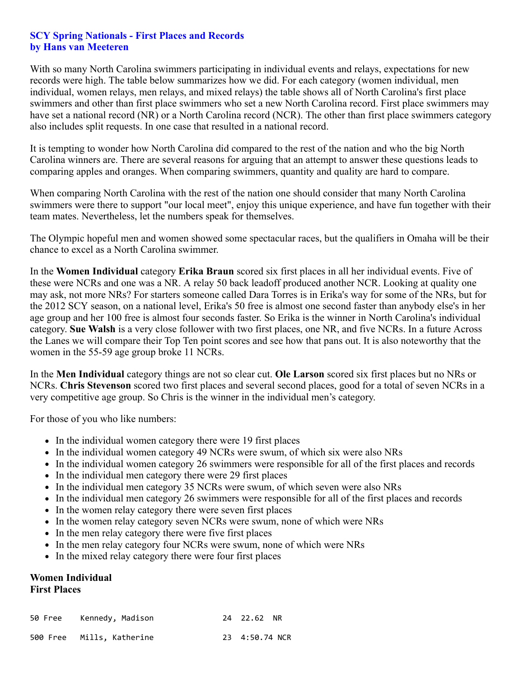## **SCY Spring Nationals - First Places and Records by Hans van Meeteren**

With so many North Carolina swimmers participating in individual events and relays, expectations for new records were high. The table below summarizes how we did. For each category (women individual, men individual, women relays, men relays, and mixed relays) the table shows all of North Carolina's first place swimmers and other than first place swimmers who set a new North Carolina record. First place swimmers may have set a national record (NR) or a North Carolina record (NCR). The other than first place swimmers category also includes split requests. In one case that resulted in a national record.

It is tempting to wonder how North Carolina did compared to the rest of the nation and who the big North Carolina winners are. There are several reasons for arguing that an attempt to answer these questions leads to comparing apples and oranges. When comparing swimmers, quantity and quality are hard to compare.

When comparing North Carolina with the rest of the nation one should consider that many North Carolina swimmers were there to support "our local meet", enjoy this unique experience, and have fun together with their team mates. Nevertheless, let the numbers speak for themselves.

The Olympic hopeful men and women showed some spectacular races, but the qualifiers in Omaha will be their chance to excel as a North Carolina swimmer.

In the **Women Individual** category **Erika Braun** scored six first places in all her individual events. Five of these were NCRs and one was a NR. A relay 50 back leadoff produced another NCR. Looking at quality one may ask, not more NRs? For starters someone called Dara Torres is in Erika's way for some of the NRs, but for the 2012 SCY season, on a national level, Erika's 50 free is almost one second faster than anybody else's in her age group and her 100 free is almost four seconds faster. So Erika is the winner in North Carolina's individual category. **Sue Walsh** is a very close follower with two first places, one NR, and five NCRs. In a future Across the Lanes we will compare their Top Ten point scores and see how that pans out. It is also noteworthy that the women in the 55-59 age group broke 11 NCRs.

In the **Men Individual** category things are not so clear cut. **Ole Larson** scored six first places but no NRs or NCRs. **Chris Stevenson** scored two first places and several second places, good for a total of seven NCRs in a very competitive age group. So Chris is the winner in the individual men's category.

For those of you who like numbers:

- In the individual women category there were 19 first places
- In the individual women category 49 NCRs were swum, of which six were also NRs
- In the individual women category 26 swimmers were responsible for all of the first places and records
- In the individual men category there were 29 first places
- In the individual men category 35 NCRs were swum, of which seven were also NRs
- In the individual men category 26 swimmers were responsible for all of the first places and records
- In the women relay category there were seven first places
- In the women relay category seven NCRs were swum, none of which were NRs
- In the men relay category there were five first places
- In the men relay category four NCRs were swum, none of which were NRs
- In the mixed relay category there were four first places

## **Women Individual First Places**

| 50 Free Kennedy, Madison  | 24 22.62 NR    |  |
|---------------------------|----------------|--|
| 500 Free Mills, Katherine | 23 4:50.74 NCR |  |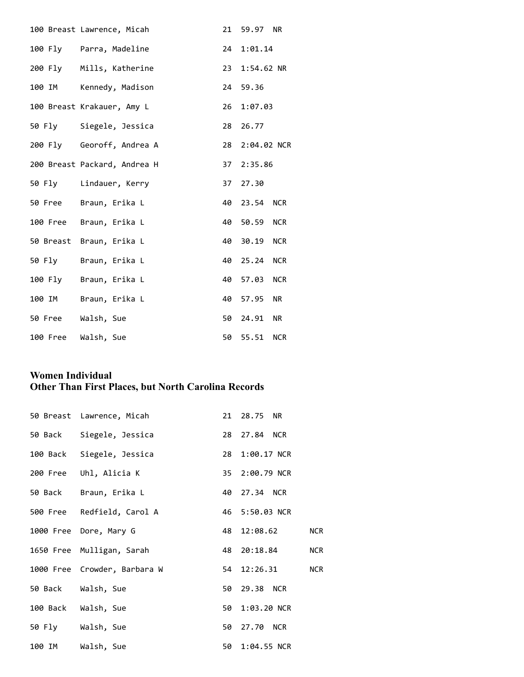| 100 Breast Lawrence, Micah   | 21 59.97 NR    |  |
|------------------------------|----------------|--|
| 100 Fly Parra, Madeline      | 24 1:01.14     |  |
| 200 Fly Mills, Katherine     | 23 1:54.62 NR  |  |
| 100 IM Kennedy, Madison      | 24 59.36       |  |
| 100 Breast Krakauer, Amy L   | 26 1:07.03     |  |
| 50 Fly Siegele, Jessica      | 28 26.77       |  |
| 200 Fly Georoff, Andrea A    | 28 2:04.02 NCR |  |
| 200 Breast Packard, Andrea H | 37 2:35.86     |  |
| 50 Fly Lindauer, Kerry       | 37 27.30       |  |
| 50 Free Braun, Erika L       | 40 23.54 NCR   |  |
| 100 Free Braun, Erika L      | 40 50.59 NCR   |  |
| 50 Breast Braun, Erika L     | 40 30.19 NCR   |  |
| 50 Fly Braun, Erika L        | 40 25.24 NCR   |  |
| 100 Fly Braun, Erika L       | 40 57.03 NCR   |  |
| 100 IM Braun, Erika L        | 40 57.95 NR    |  |
| 50 Free Walsh, Sue           | 50 24.91 NR    |  |
| 100 Free Walsh, Sue          | 50 55.51 NCR   |  |

# **Women Individual Other Than First Places, but North Carolina Records**

| 50 Breast Lawrence, Micah    | 21 28.75 NR     |            |
|------------------------------|-----------------|------------|
| 50 Back Siegele, Jessica     | 28 27.84 NCR    |            |
| 100 Back Siegele, Jessica    | 28 1:00.17 NCR  |            |
| 200 Free Uhl, Alicia K       | 35 2:00.79 NCR  |            |
| 50 Back Braun, Erika L       | 40 27.34 NCR    |            |
| 500 Free Redfield, Carol A   | 46 5:50.03 NCR  |            |
| 1000 Free Dore, Mary G       | 48 12:08.62     | <b>NCR</b> |
| 1650 Free Mulligan, Sarah    | 48 20:18.84 NCR |            |
| 1000 Free Crowder, Barbara W | 54 12:26.31 NCR |            |
| 50 Back Walsh, Sue           | 50 29.38 NCR    |            |
| 100 Back Walsh, Sue          | 50 1:03.20 NCR  |            |
| 50 Fly Walsh, Sue            | 50 27.70 NCR    |            |
| 100 IM Walsh, Sue            | 50 1:04.55 NCR  |            |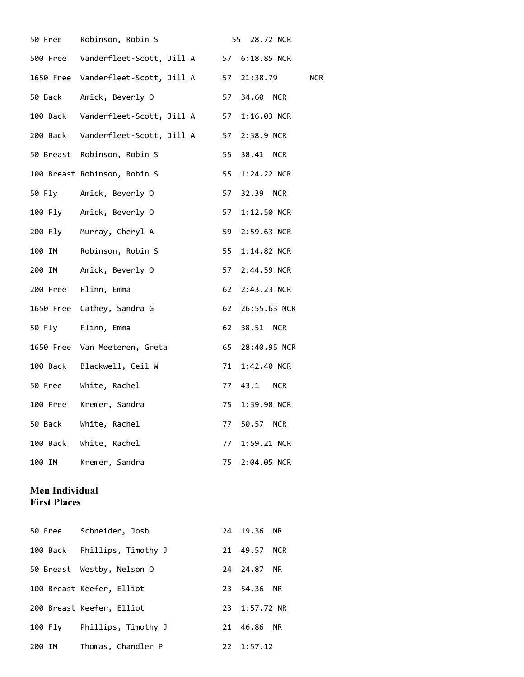| 50 Free               | Robinson, Robin S                                 |    | 28.72 NCR<br>55        |
|-----------------------|---------------------------------------------------|----|------------------------|
|                       | 500 Free Vanderfleet-Scott, Jill A 57 6:18.85 NCR |    |                        |
|                       | 1650 Free Vanderfleet-Scott, Jill A 57            |    | 21:38.79<br><b>NCR</b> |
| 50 Back               | Amick, Beverly O                                  | 57 | 34.60 NCR              |
|                       | 100 Back Vanderfleet-Scott, Jill A                | 57 | 1:16.03 NCR            |
|                       | 200 Back Vanderfleet-Scott, Jill A                | 57 | 2:38.9 NCR             |
|                       | 50 Breast Robinson, Robin S                       | 55 | 38.41 NCR              |
|                       | 100 Breast Robinson, Robin S                      | 55 | 1:24.22 NCR            |
|                       | 50 Fly Amick, Beverly O                           | 57 | 32.39 NCR              |
|                       | 100 Fly Amick, Beverly O                          | 57 | 1:12.50 NCR            |
|                       | 200 Fly Murray, Cheryl A                          | 59 | 2:59.63 NCR            |
| 100 IM                | Robinson, Robin S                                 | 55 | 1:14.82 NCR            |
| 200 IM                | Amick, Beverly O                                  | 57 | 2:44.59 NCR            |
| 200 Free              | Flinn, Emma                                       | 62 | 2:43.23 NCR            |
|                       | 1650 Free Cathey, Sandra G                        | 62 | 26:55.63 NCR           |
|                       | 50 Fly Flinn, Emma                                | 62 | 38.51 NCR              |
|                       | 1650 Free Van Meeteren, Greta                     | 65 | 28:40.95 NCR           |
|                       | 100 Back Blackwell, Ceil W                        | 71 | 1:42.40 NCR            |
| 50 Free               | White, Rachel                                     | 77 | 43.1<br><b>NCR</b>     |
| 100 Free              | Kremer, Sandra                                    | 75 | 1:39.98 NCR            |
| 50 Back               | White, Rachel                                     | 77 | 50.57<br><b>NCR</b>    |
| 100 Back              | White, Rachel                                     | 77 | 1:59.21 NCR            |
| 100 IM                | Kremer, Sandra                                    | 75 | 2:04.05 NCR            |
| <b>Men Individual</b> |                                                   |    |                        |

# **First Places**

|        |         | 50 Free Schneider, Josh      | 24 19.36 NR        |  |
|--------|---------|------------------------------|--------------------|--|
|        |         | 100 Back Phillips, Timothy J | 21 49.57 NCR       |  |
|        |         | 50 Breast Westby, Nelson O   | 24 24.87 NR        |  |
|        |         | 100 Breast Keefer, Elliot    | 23 54.36 NR        |  |
|        |         | 200 Breast Keefer, Elliot    | 23 1:57.72 NR      |  |
|        | 100 Fly | Phillips, Timothy J          | 21 46.86 NR        |  |
| 200 IM |         | Thomas, Chandler P           | $22 \quad 1:57.12$ |  |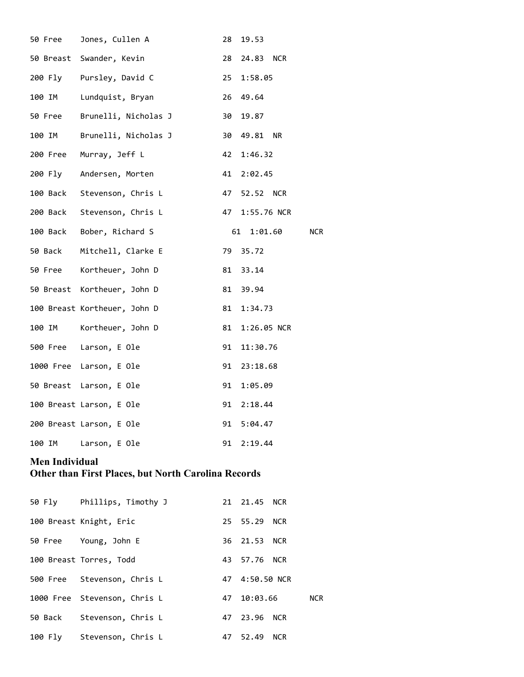| 50 Free  | Jones, Cullen A              | 28 | 19.53                    |
|----------|------------------------------|----|--------------------------|
|          | 50 Breast Swander, Kevin     | 28 | 24.83 NCR                |
| 200 Fly  | Pursley, David C             | 25 | 1:58.05                  |
| 100 IM   | Lundquist, Bryan             | 26 | 49.64                    |
| 50 Free  | Brunelli, Nicholas J         | 30 | 19.87                    |
| 100 IM   | Brunelli, Nicholas J         | 30 | 49.81 NR                 |
| 200 Free | Murray, Jeff L               | 42 | 1:46.32                  |
| 200 Fly  | Andersen, Morten             | 41 | 2:02.45                  |
| 100 Back | Stevenson, Chris L           | 47 | 52.52 NCR                |
|          | 200 Back Stevenson, Chris L  | 47 | 1:55.76 NCR              |
|          | 100 Back Bober, Richard S    |    | <b>NCR</b><br>61 1:01.60 |
| 50 Back  | Mitchell, Clarke E           | 79 | 35.72                    |
| 50 Free  | Kortheuer, John D            | 81 | 33.14                    |
|          | 50 Breast Kortheuer, John D  | 81 | 39.94                    |
|          | 100 Breast Kortheuer, John D | 81 | 1:34.73                  |
| 100 IM   | Kortheuer, John D            | 81 | 1:26.05 NCR              |
|          | 500 Free Larson, E Ole       | 91 | 11:30.76                 |
|          | 1000 Free Larson, E Ole      | 91 | 23:18.68                 |
|          | 50 Breast Larson, E Ole      | 91 | 1:05.09                  |
|          | 100 Breast Larson, E Ole     | 91 | 2:18.44                  |
|          | 200 Breast Larson, E Ole     | 91 | 5:04.47                  |
| 100 IM   | Larson, E Ole                | 91 | 2:19.44                  |
|          |                              |    |                          |

# **Men Individual**

# **Other than First Places, but North Carolina Records**

| 50 Fly Phillips, Timothy J   | 21 21.45 NCR   |            |
|------------------------------|----------------|------------|
| 100 Breast Knight, Eric      | 25 55.29 NCR   |            |
| 50 Free Young, John E        | 36 21.53 NCR   |            |
| 100 Breast Torres, Todd      | 43 57.76 NCR   |            |
| 500 Free Stevenson, Chris L  | 47 4:50.50 NCR |            |
| 1000 Free Stevenson, Chris L | 47 10:03.66    | <b>NCR</b> |
| 50 Back Stevenson, Chris L   | 47 23.96 NCR   |            |
| 100 Fly Stevenson, Chris L   | 47 52.49 NCR   |            |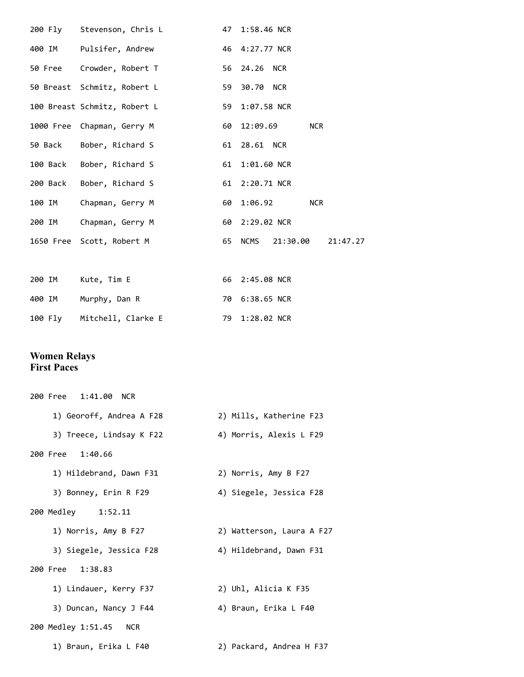|        | 200 Fly Stevenson, Chris L   |    | 47 1:58.46 NCR               |
|--------|------------------------------|----|------------------------------|
|        | 400 IM Pulsifer, Andrew      |    | 46 4:27.77 NCR               |
|        | 50 Free Crowder, Robert T    |    | 56 24.26 NCR                 |
|        | 50 Breast Schmitz, Robert L  | 59 | 30.70 NCR                    |
|        | 100 Breast Schmitz, Robert L |    | 59 1:07.58 NCR               |
|        | 1000 Free Chapman, Gerry M   |    | <b>NCR</b><br>60 12:09.69    |
|        | 50 Back Bober, Richard S     | 61 | 28.61 NCR                    |
|        | 100 Back Bober, Richard S    |    | 61 1:01.60 NCR               |
|        | 200 Back Bober, Richard S    |    | 61 2:20.71 NCR               |
| 100 IM | Chapman, Gerry M             | 60 | 1:06.92<br><b>NCR</b>        |
| 200 IM | Chapman, Gerry M             |    | 60 2:29.02 NCR               |
|        | 1650 Free Scott, Robert M    |    | 65 NCMS 21:30.00<br>21:47.27 |
|        |                              |    |                              |
| 200 IM | Kute, Tim E                  |    | 66 2:45.08 NCR               |
| 400 IM | Murphy, Dan R                |    | 70 6:38.65 NCR               |

| 100 Fly | Mitchell, Clarke E | 79 1:28.02 NCR |
|---------|--------------------|----------------|

#### **Women Relays First Paces**

| 200 Free 1:41.00 NCR     |                           |
|--------------------------|---------------------------|
| 1) Georoff, Andrea A F28 | 2) Mills, Katherine F23   |
| 3) Treece, Lindsay K F22 | 4) Morris, Alexis L F29   |
| 200 Free 1:40.66         |                           |
| 1) Hildebrand, Dawn F31  | 2) Norris, Amy B F27      |
| 3) Bonney, Erin R F29    | 4) Siegele, Jessica F28   |
| 200 Medley 1:52.11       |                           |
| 1) Norris, Amy B F27     | 2) Watterson, Laura A F27 |
| 3) Siegele, Jessica F28  | 4) Hildebrand, Dawn F31   |
| 200 Free 1:38.83         |                           |
| 1) Lindauer, Kerry F37   | 2) Uhl, Alicia K F35      |
| 3) Duncan, Nancy J F44   | 4) Braun, Erika L F40     |
| 200 Medley 1:51.45 NCR   |                           |
| 1) Braun, Erika L F40    | 2) Packard, Andrea H F37  |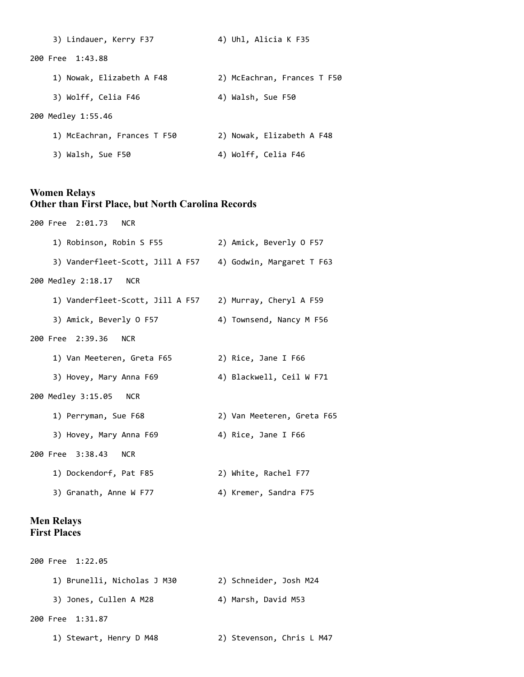| 3) Lindauer, Kerry F37      | 4) Uhl, Alicia K F35        |
|-----------------------------|-----------------------------|
| 200 Free 1:43.88            |                             |
| 1) Nowak, Elizabeth A F48   | 2) McEachran, Frances T F50 |
| 3) Wolff, Celia F46         | 4) Walsh, Sue F50           |
| 200 Medley 1:55.46          |                             |
| 1) McEachran, Frances T F50 | 2) Nowak, Elizabeth A F48   |
| 3) Walsh, Sue F50           | 4) Wolff, Celia F46         |

## **Women Relays Other than First Place, but North Carolina Records**

200 Free 2:01.73 NCR 1) Robinson, Robin S F55 2) Amick, Beverly O F57 3) Vanderfleet-Scott, Jill A F57 4) Godwin, Margaret T F63 200 Medley 2:18.17 NCR 1) Vanderfleet-Scott, Jill A F57 2) Murray, Cheryl A F59 3) Amick, Beverly O F57 4) Townsend, Nancy M F56 200 Free 2:39.36 NCR 1) Van Meeteren, Greta F65 2) Rice, Jane I F66 3) Hovey, Mary Anna F69 4) Blackwell, Ceil W F71 200 Medley 3:15.05 NCR 1) Perryman, Sue F68 2) Van Meeteren, Greta F65 3) Hovey, Mary Anna F69 4) Rice, Jane I F66 200 Free 3:38.43 NCR 1) Dockendorf, Pat F85 2) White, Rachel F77 3) Granath, Anne W F77 4) Kremer, Sandra F75

## **Men Relays First Places**

| 200 Free 1:22.05            |                           |
|-----------------------------|---------------------------|
| 1) Brunelli, Nicholas J M30 | 2) Schneider, Josh M24    |
| 3) Jones, Cullen A M28      | 4) Marsh, David M53       |
| 200 Free 1:31.87            |                           |
| 1) Stewart, Henry D M48     | 2) Stevenson, Chris L M47 |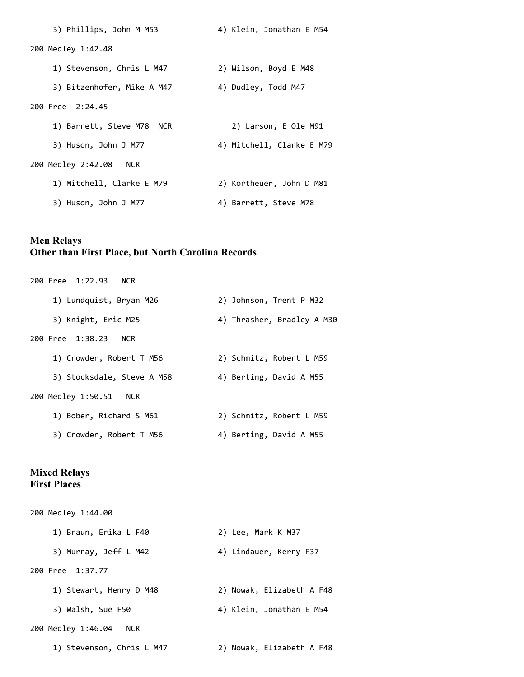| 3) Phillips, John M M53          | 4) Klein, Jonathan E M54  |
|----------------------------------|---------------------------|
| 200 Medley 1:42.48               |                           |
| 1) Stevenson, Chris L M47        | 2) Wilson, Boyd E M48     |
| 3) Bitzenhofer, Mike A M47       | 4) Dudley, Todd M47       |
| 200 Free 2:24.45                 |                           |
| 1) Barrett, Steve M78 NCR        | 2) Larson, E Ole M91      |
| 3) Huson, John J M77             | 4) Mitchell, Clarke E M79 |
| 200 Medley 2:42.08<br><b>NCR</b> |                           |
| 1) Mitchell, Clarke E M79        | 2) Kortheuer, John D M81  |
| 3) Huson, John J M77             | 4) Barrett, Steve M78     |

# **Men Relays Other than First Place, but North Carolina Records**

| 200 Free 1:22.93 NCR       |                            |
|----------------------------|----------------------------|
| 1) Lundquist, Bryan M26    | 2) Johnson, Trent P M32    |
| 3) Knight, Eric M25        | 4) Thrasher, Bradley A M30 |
| 200 Free 1:38.23 NCR       |                            |
| 1) Crowder, Robert T M56   | 2) Schmitz, Robert L M59   |
| 3) Stocksdale, Steve A M58 | 4) Berting, David A M55    |
| 200 Medley 1:50.51 NCR     |                            |
| 1) Bober, Richard S M61    | 2) Schmitz, Robert L M59   |
| 3) Crowder, Robert T M56   | 4) Berting, David A M55    |

## **Mixed Relays First Places**

| 200 Medley 1:44.00               |                           |
|----------------------------------|---------------------------|
| 1) Braun, Erika L F40            | 2) Lee, Mark K M37        |
| 3) Murray, Jeff L M42            | 4) Lindauer, Kerry F37    |
| 200 Free 1:37.77                 |                           |
| 1) Stewart, Henry D M48          | 2) Nowak, Elizabeth A F48 |
| 3) Walsh, Sue F50                | 4) Klein, Jonathan E M54  |
| 200 Medley 1:46.04<br><b>NCR</b> |                           |
| 1) Stevenson, Chris L M47        | 2) Nowak, Elizabeth A F48 |